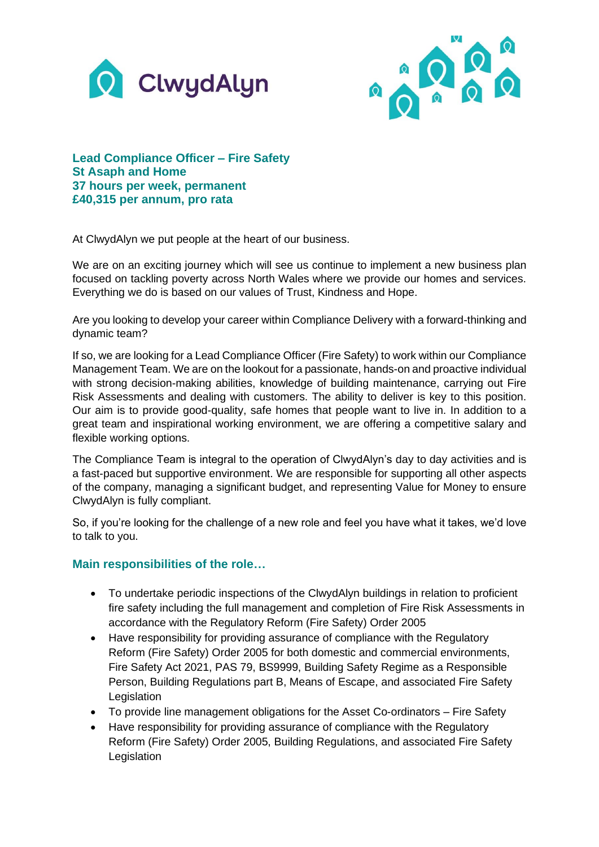



**Lead Compliance Officer – Fire Safety St Asaph and Home 37 hours per week, permanent £40,315 per annum, pro rata**

At ClwydAlyn we put people at the heart of our business.

We are on an exciting journey which will see us continue to implement a new business plan focused on tackling poverty across North Wales where we provide our homes and services. Everything we do is based on our values of Trust, Kindness and Hope.

Are you looking to develop your career within Compliance Delivery with a forward-thinking and dynamic team?

If so, we are looking for a Lead Compliance Officer (Fire Safety) to work within our Compliance Management Team. We are on the lookout for a passionate, hands-on and proactive individual with strong decision-making abilities, knowledge of building maintenance, carrying out Fire Risk Assessments and dealing with customers. The ability to deliver is key to this position. Our aim is to provide good-quality, safe homes that people want to live in. In addition to a great team and inspirational working environment, we are offering a competitive salary and flexible working options.

The Compliance Team is integral to the operation of ClwydAlyn's day to day activities and is a fast-paced but supportive environment. We are responsible for supporting all other aspects of the company, managing a significant budget, and representing Value for Money to ensure ClwydAlyn is fully compliant.

So, if you're looking for the challenge of a new role and feel you have what it takes, we'd love to talk to you.

## **Main responsibilities of the role…**

- To undertake periodic inspections of the ClwydAlyn buildings in relation to proficient fire safety including the full management and completion of Fire Risk Assessments in accordance with the Regulatory Reform (Fire Safety) Order 2005
- Have responsibility for providing assurance of compliance with the Regulatory Reform (Fire Safety) Order 2005 for both domestic and commercial environments, Fire Safety Act 2021, PAS 79, BS9999, Building Safety Regime as a Responsible Person, Building Regulations part B, Means of Escape, and associated Fire Safety **Legislation**
- To provide line management obligations for the Asset Co-ordinators Fire Safety
- Have responsibility for providing assurance of compliance with the Regulatory Reform (Fire Safety) Order 2005, Building Regulations, and associated Fire Safety Legislation